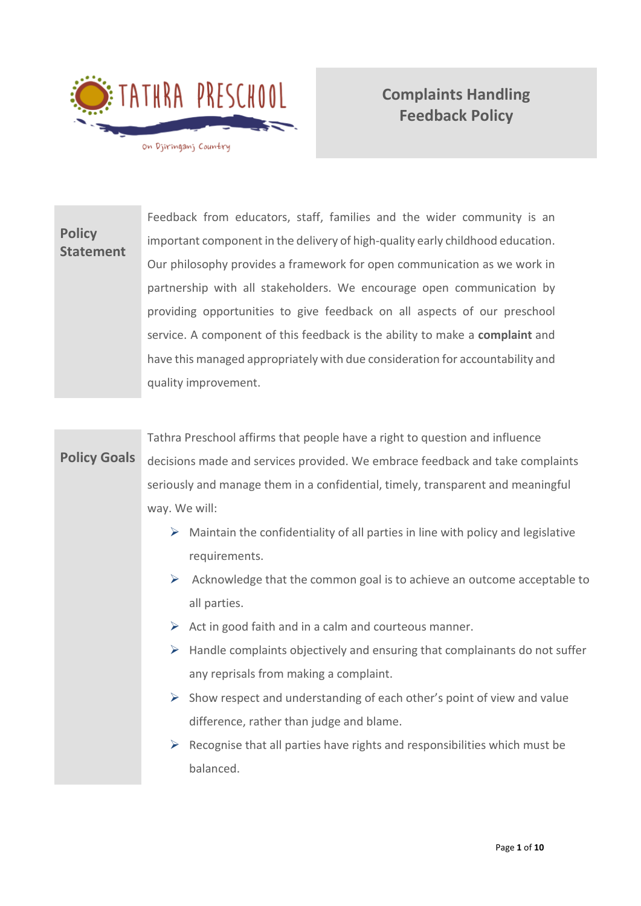

# **Complaints Handling Feedback Policy**

**Policy Statement** Feedback from educators, staff, families and the wider community is an important component in the delivery of high-quality early childhood education. Our philosophy provides a framework for open communication as we work in partnership with all stakeholders. We encourage open communication by providing opportunities to give feedback on all aspects of our preschool service. A component of this feedback is the ability to make a **complaint** and have this managed appropriately with due consideration for accountability and quality improvement.

### **Policy Goals**

Tathra Preschool affirms that people have a right to question and influence decisions made and services provided. We embrace feedback and take complaints seriously and manage them in a confidential, timely, transparent and meaningful way. We will:

- $\triangleright$  Maintain the confidentiality of all parties in line with policy and legislative requirements.
- $\triangleright$  Acknowledge that the common goal is to achieve an outcome acceptable to all parties.
- $\triangleright$  Act in good faith and in a calm and courteous manner.
- $\triangleright$  Handle complaints objectively and ensuring that complainants do not suffer any reprisals from making a complaint.
- $\triangleright$  Show respect and understanding of each other's point of view and value difference, rather than judge and blame.
- $\triangleright$  Recognise that all parties have rights and responsibilities which must be balanced.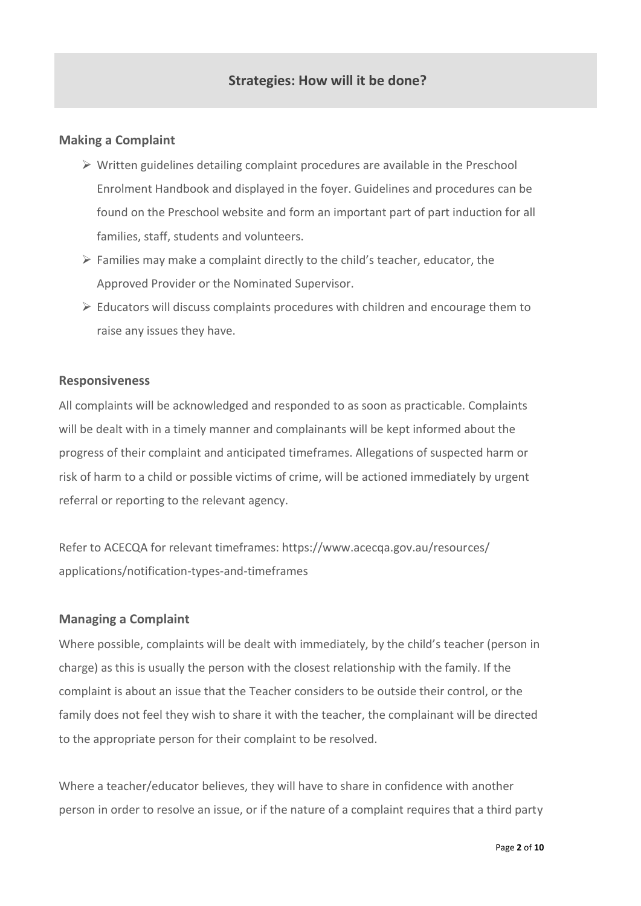# **Strategies: How will it be done?**

#### **Making a Complaint**

- $\triangleright$  Written guidelines detailing complaint procedures are available in the Preschool Enrolment Handbook and displayed in the foyer. Guidelines and procedures can be found on the Preschool website and form an important part of part induction for all families, staff, students and volunteers.
- $\triangleright$  Families may make a complaint directly to the child's teacher, educator, the Approved Provider or the Nominated Supervisor.
- $\triangleright$  Educators will discuss complaints procedures with children and encourage them to raise any issues they have.

#### **Responsiveness**

All complaints will be acknowledged and responded to as soon as practicable. Complaints will be dealt with in a timely manner and complainants will be kept informed about the progress of their complaint and anticipated timeframes. Allegations of suspected harm or risk of harm to a child or possible victims of crime, will be actioned immediately by urgent referral or reporting to the relevant agency.

Refer to ACECQA for relevant timeframes: https://www.acecqa.gov.au/resources/ applications/notification-types-and-timeframes

#### **Managing a Complaint**

Where possible, complaints will be dealt with immediately, by the child's teacher (person in charge) as this is usually the person with the closest relationship with the family. If the complaint is about an issue that the Teacher considers to be outside their control, or the family does not feel they wish to share it with the teacher, the complainant will be directed to the appropriate person for their complaint to be resolved.

Where a teacher/educator believes, they will have to share in confidence with another person in order to resolve an issue, or if the nature of a complaint requires that a third party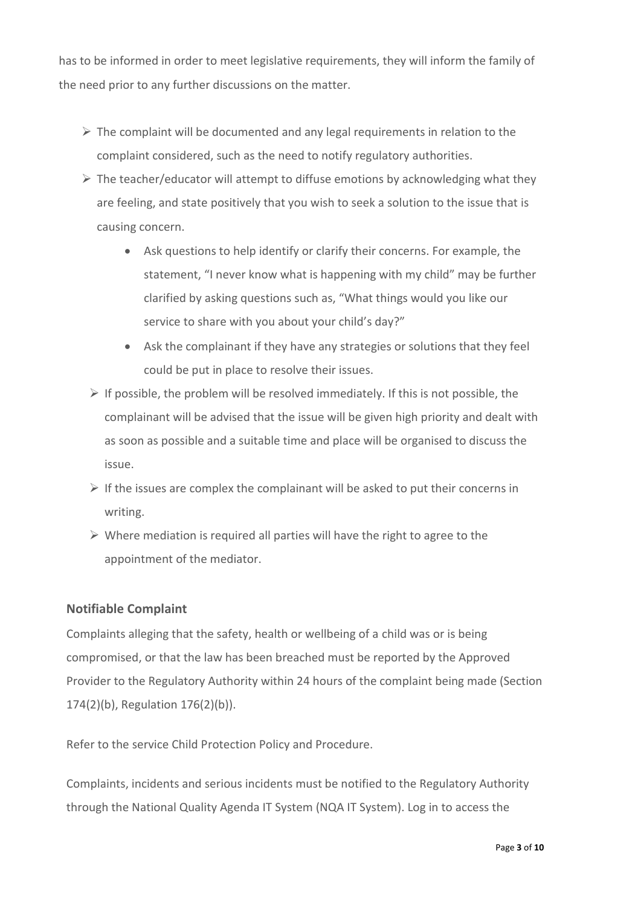has to be informed in order to meet legislative requirements, they will inform the family of the need prior to any further discussions on the matter.

- $\triangleright$  The complaint will be documented and any legal requirements in relation to the complaint considered, such as the need to notify regulatory authorities.
- $\triangleright$  The teacher/educator will attempt to diffuse emotions by acknowledging what they are feeling, and state positively that you wish to seek a solution to the issue that is causing concern.
	- Ask questions to help identify or clarify their concerns. For example, the statement, "I never know what is happening with my child" may be further clarified by asking questions such as, "What things would you like our service to share with you about your child's day?"
	- Ask the complainant if they have any strategies or solutions that they feel could be put in place to resolve their issues.
	- $\triangleright$  If possible, the problem will be resolved immediately. If this is not possible, the complainant will be advised that the issue will be given high priority and dealt with as soon as possible and a suitable time and place will be organised to discuss the issue.
	- $\triangleright$  If the issues are complex the complainant will be asked to put their concerns in writing.
	- ➢ Where mediation is required all parties will have the right to agree to the appointment of the mediator.

### **Notifiable Complaint**

Complaints alleging that the safety, health or wellbeing of a child was or is being compromised, or that the law has been breached must be reported by the Approved Provider to the Regulatory Authority within 24 hours of the complaint being made (Section 174(2)(b), Regulation 176(2)(b)).

Refer to the service Child Protection Policy and Procedure.

Complaints, incidents and serious incidents must be notified to the Regulatory Authority through the National Quality Agenda IT System (NQA IT System). Log in to access the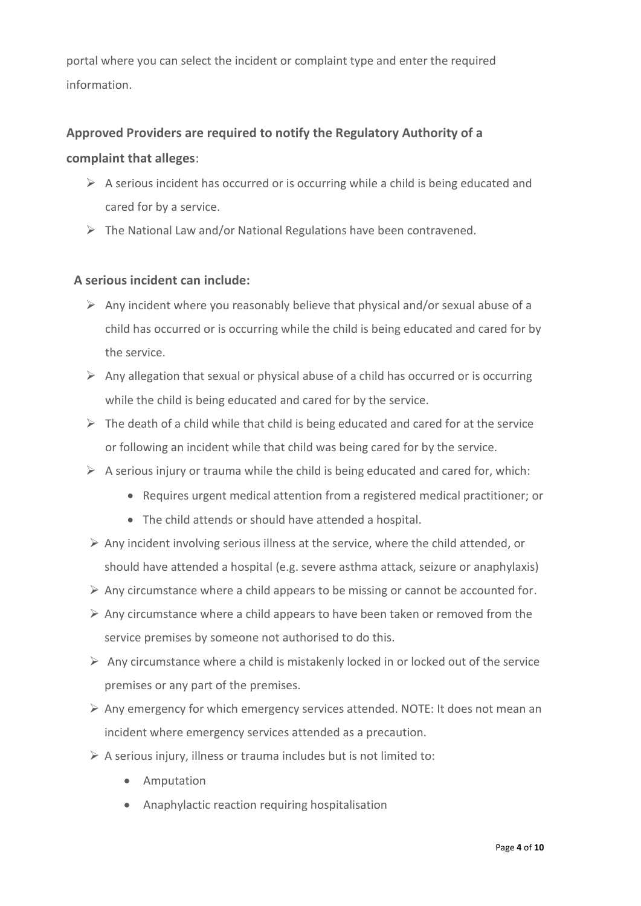portal where you can select the incident or complaint type and enter the required information.

## **Approved Providers are required to notify the Regulatory Authority of a**

#### **complaint that alleges**:

- $\triangleright$  A serious incident has occurred or is occurring while a child is being educated and cared for by a service.
- $\triangleright$  The National Law and/or National Regulations have been contravened.

### **A serious incident can include:**

- $\triangleright$  Any incident where you reasonably believe that physical and/or sexual abuse of a child has occurred or is occurring while the child is being educated and cared for by the service.
- $\triangleright$  Any allegation that sexual or physical abuse of a child has occurred or is occurring while the child is being educated and cared for by the service.
- $\triangleright$  The death of a child while that child is being educated and cared for at the service or following an incident while that child was being cared for by the service.
- $\triangleright$  A serious injury or trauma while the child is being educated and cared for, which:
	- Requires urgent medical attention from a registered medical practitioner; or
	- The child attends or should have attended a hospital.
- $\triangleright$  Any incident involving serious illness at the service, where the child attended, or should have attended a hospital (e.g. severe asthma attack, seizure or anaphylaxis)
- $\triangleright$  Any circumstance where a child appears to be missing or cannot be accounted for.
- $\triangleright$  Any circumstance where a child appears to have been taken or removed from the service premises by someone not authorised to do this.
- $\triangleright$  Any circumstance where a child is mistakenly locked in or locked out of the service premises or any part of the premises.
- $\triangleright$  Any emergency for which emergency services attended. NOTE: It does not mean an incident where emergency services attended as a precaution.
- $\triangleright$  A serious injury, illness or trauma includes but is not limited to:
	- Amputation
	- Anaphylactic reaction requiring hospitalisation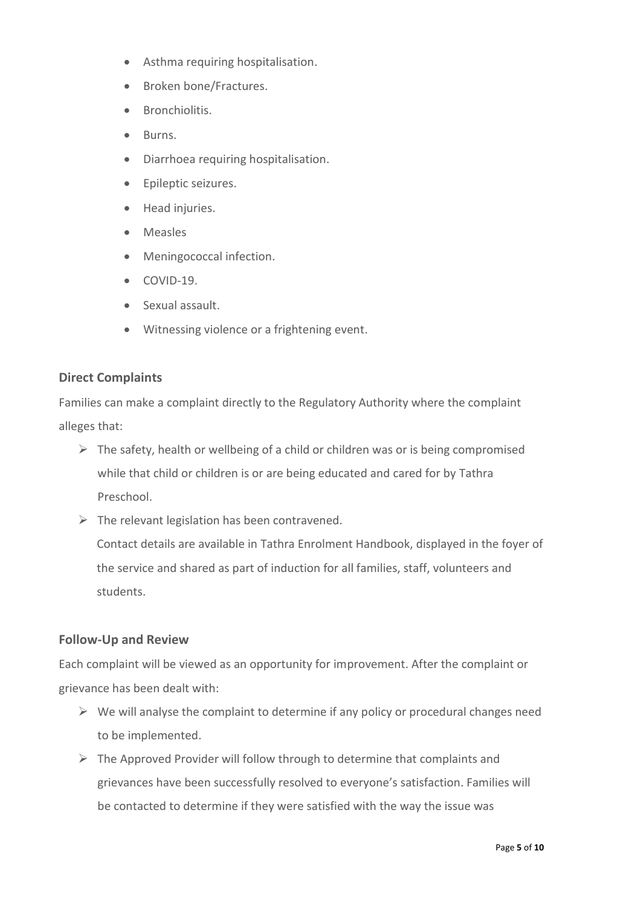- Asthma requiring hospitalisation.
- Broken bone/Fractures.
- Bronchiolitis.
- Burns.
- Diarrhoea requiring hospitalisation.
- Epileptic seizures.
- Head injuries.
- Measles
- Meningococcal infection.
- $\bullet$  COVID-19.
- Sexual assault.
- Witnessing violence or a frightening event.

#### **Direct Complaints**

Families can make a complaint directly to the Regulatory Authority where the complaint alleges that:

- $\triangleright$  The safety, health or wellbeing of a child or children was or is being compromised while that child or children is or are being educated and cared for by Tathra Preschool.
- $\triangleright$  The relevant legislation has been contravened.

Contact details are available in Tathra Enrolment Handbook, displayed in the foyer of the service and shared as part of induction for all families, staff, volunteers and students.

### **Follow-Up and Review**

Each complaint will be viewed as an opportunity for improvement. After the complaint or grievance has been dealt with:

- $\triangleright$  We will analyse the complaint to determine if any policy or procedural changes need to be implemented.
- $\triangleright$  The Approved Provider will follow through to determine that complaints and grievances have been successfully resolved to everyone's satisfaction. Families will be contacted to determine if they were satisfied with the way the issue was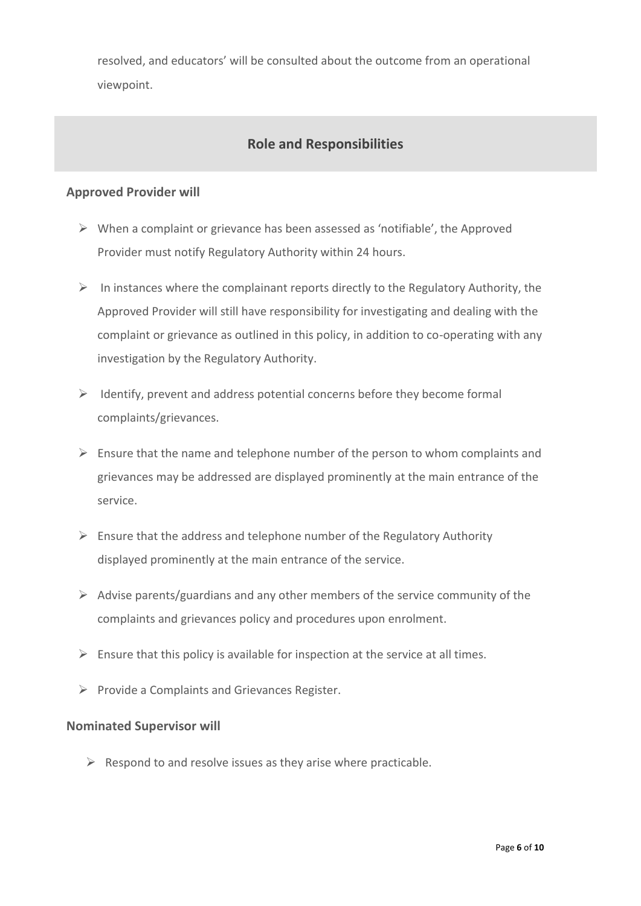resolved, and educators' will be consulted about the outcome from an operational viewpoint.

# **Role and Responsibilities**

#### **Approved Provider will**

- ➢ When a complaint or grievance has been assessed as 'notifiable', the Approved Provider must notify Regulatory Authority within 24 hours.
- $\triangleright$  In instances where the complainant reports directly to the Regulatory Authority, the Approved Provider will still have responsibility for investigating and dealing with the complaint or grievance as outlined in this policy, in addition to co-operating with any investigation by the Regulatory Authority.
- $\triangleright$  Identify, prevent and address potential concerns before they become formal complaints/grievances.
- $\triangleright$  Ensure that the name and telephone number of the person to whom complaints and grievances may be addressed are displayed prominently at the main entrance of the service.
- $\triangleright$  Ensure that the address and telephone number of the Regulatory Authority displayed prominently at the main entrance of the service.
- $\triangleright$  Advise parents/guardians and any other members of the service community of the complaints and grievances policy and procedures upon enrolment.
- $\triangleright$  Ensure that this policy is available for inspection at the service at all times.
- ➢ Provide a Complaints and Grievances Register.

#### **Nominated Supervisor will**

 $\triangleright$  Respond to and resolve issues as they arise where practicable.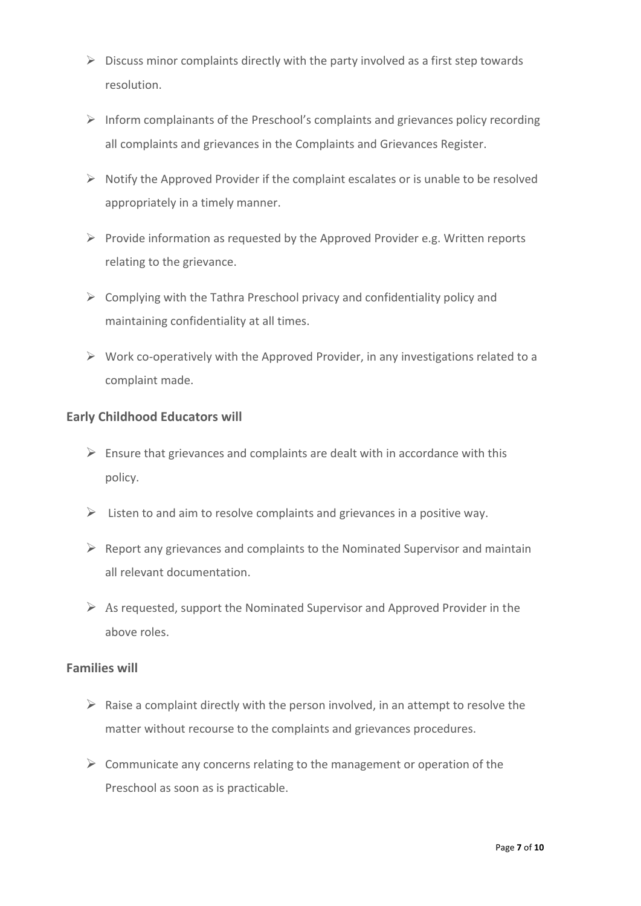- $\triangleright$  Discuss minor complaints directly with the party involved as a first step towards resolution.
- ➢ Inform complainants of the Preschool's complaints and grievances policy recording all complaints and grievances in the Complaints and Grievances Register.
- $\triangleright$  Notify the Approved Provider if the complaint escalates or is unable to be resolved appropriately in a timely manner.
- $\triangleright$  Provide information as requested by the Approved Provider e.g. Written reports relating to the grievance.
- $\triangleright$  Complying with the Tathra Preschool privacy and confidentiality policy and maintaining confidentiality at all times.
- $\triangleright$  Work co-operatively with the Approved Provider, in any investigations related to a complaint made.

### **Early Childhood Educators will**

- $\triangleright$  Ensure that grievances and complaints are dealt with in accordance with this policy.
- $\triangleright$  Listen to and aim to resolve complaints and grievances in a positive way.
- $\triangleright$  Report any grievances and complaints to the Nominated Supervisor and maintain all relevant documentation.
- $\triangleright$  As requested, support the Nominated Supervisor and Approved Provider in the above roles.

#### **Families will**

- $\triangleright$  Raise a complaint directly with the person involved, in an attempt to resolve the matter without recourse to the complaints and grievances procedures.
- $\triangleright$  Communicate any concerns relating to the management or operation of the Preschool as soon as is practicable.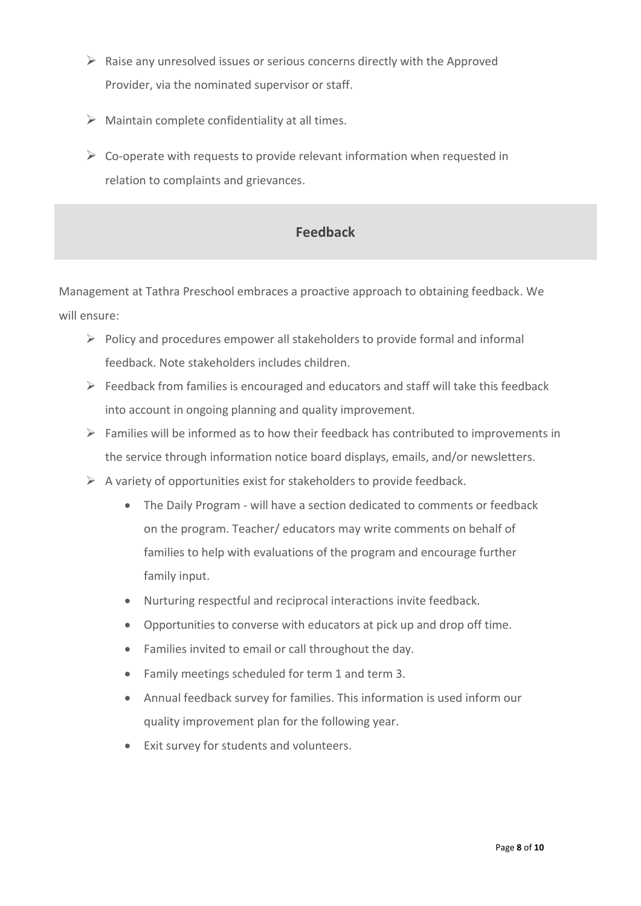- $\triangleright$  Raise any unresolved issues or serious concerns directly with the Approved Provider, via the nominated supervisor or staff.
- $\triangleright$  Maintain complete confidentiality at all times.
- $\triangleright$  Co-operate with requests to provide relevant information when requested in relation to complaints and grievances.

# **Feedback**

Management at Tathra Preschool embraces a proactive approach to obtaining feedback. We will ensure:

- $\triangleright$  Policy and procedures empower all stakeholders to provide formal and informal feedback. Note stakeholders includes children.
- $\triangleright$  Feedback from families is encouraged and educators and staff will take this feedback into account in ongoing planning and quality improvement.
- ➢ Families will be informed as to how their feedback has contributed to improvements in the service through information notice board displays, emails, and/or newsletters.
- $\triangleright$  A variety of opportunities exist for stakeholders to provide feedback.
	- The Daily Program will have a section dedicated to comments or feedback on the program. Teacher/ educators may write comments on behalf of families to help with evaluations of the program and encourage further family input.
	- Nurturing respectful and reciprocal interactions invite feedback.
	- Opportunities to converse with educators at pick up and drop off time.
	- Families invited to email or call throughout the day.
	- Family meetings scheduled for term 1 and term 3.
	- Annual feedback survey for families. This information is used inform our quality improvement plan for the following year.
	- Exit survey for students and volunteers.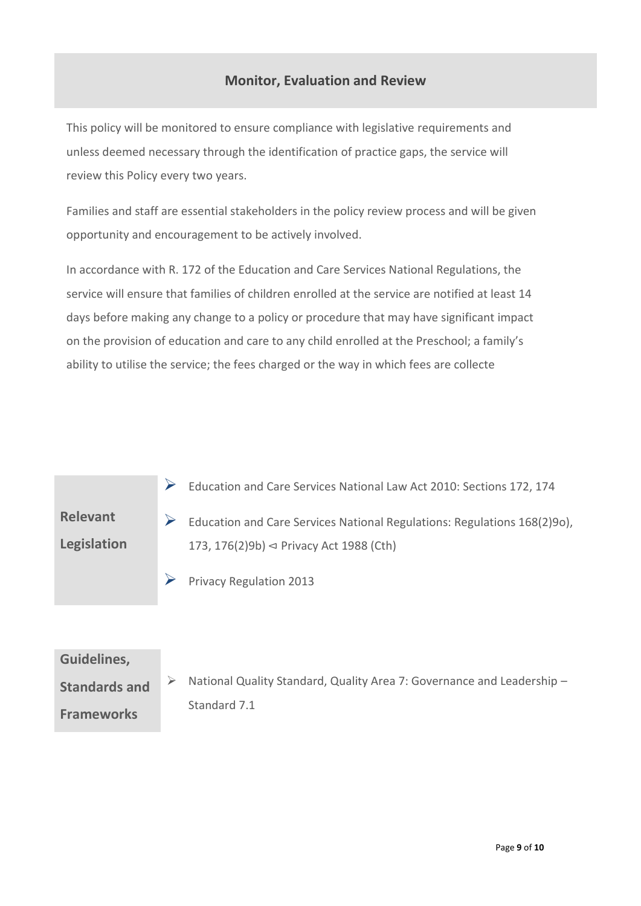# **Monitor, Evaluation and Review**

This policy will be monitored to ensure compliance with legislative requirements and unless deemed necessary through the identification of practice gaps, the service will review this Policy every two years.

Families and staff are essential stakeholders in the policy review process and will be given opportunity and encouragement to be actively involved.

In accordance with R. 172 of the Education and Care Services National Regulations, the service will ensure that families of children enrolled at the service are notified at least 14 days before making any change to a policy or procedure that may have significant impact on the provision of education and care to any child enrolled at the Preschool; a family's ability to utilise the service; the fees charged or the way in which fees are collecte

➢ Education and Care Services National Law Act 2010: Sections 172, 174

**Relevant Legislation**

- ➢ Education and Care Services National Regulations: Regulations 168(2)9o), 173, 176(2)9b) ⊲ Privacy Act 1988 (Cth)
- $\triangleright$  Privacy Regulation 2013

# **Guidelines,**

**Standards and Frameworks**  ➢ National Quality Standard, Quality Area 7: Governance and Leadership – Standard 7.1